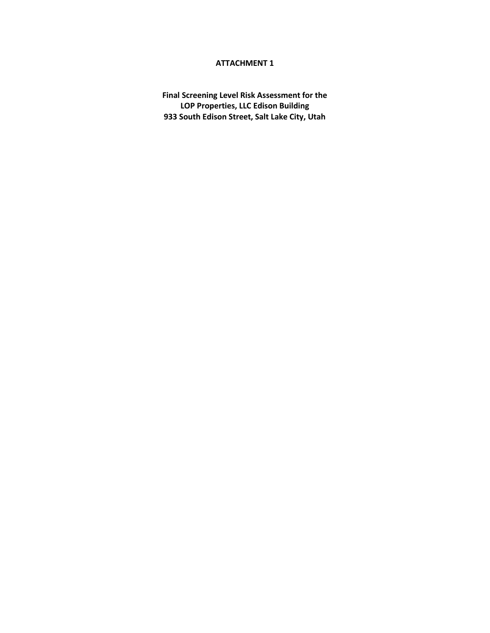# **ATTACHMENT 1**

**Final Screening Level Risk Assessment for the LOP Properties, LLC Edison Building 933 South Edison Street, Salt Lake City, Utah**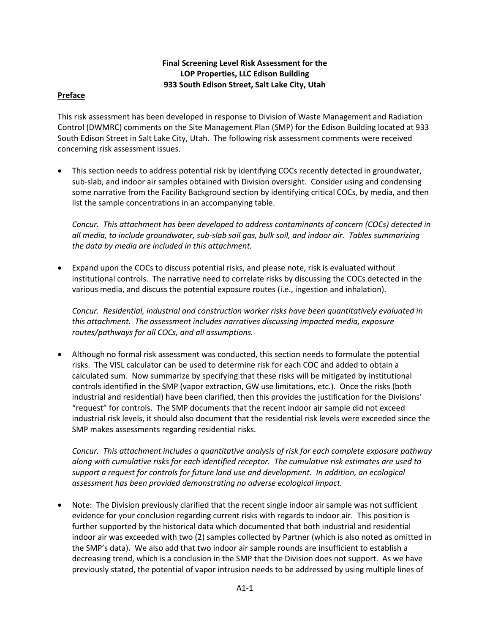# **Final Screening Level Risk Assessment for the LOP Properties, LLC Edison Building 933 South Edison Street, Salt Lake City, Utah**

### **Preface**

This risk assessment has been developed in response to Division of Waste Management and Radiation Control (DWMRC) comments on the Site Management Plan (SMP) for the Edison Building located at 933 South Edison Street in Salt Lake City, Utah. The following risk assessment comments were received concerning risk assessment issues.

• This section needs to address potential risk by identifying COCs recently detected in groundwater, sub-slab, and indoor air samples obtained with Division oversight. Consider using and condensing some narrative from the Facility Background section by identifying critical COCs, by media, and then list the sample concentrations in an accompanying table.

*Concur. This attachment has been developed to address contaminants of concern (COCs) detected in all media, to include groundwater, sub-slab soil gas, bulk soil, and indoor air. Tables summarizing the data by media are included in this attachment.*

• Expand upon the COCs to discuss potential risks, and please note, risk is evaluated without institutional controls. The narrative need to correlate risks by discussing the COCs detected in the various media, and discuss the potential exposure routes (i.e., ingestion and inhalation).

*Concur. Residential, industrial and construction worker risks have been quantitatively evaluated in this attachment. The assessment includes narratives discussing impacted media, exposure routes/pathways for all COCs, and all assumptions.*

• Although no formal risk assessment was conducted, this section needs to formulate the potential risks. The VISL calculator can be used to determine risk for each COC and added to obtain a calculated sum. Now summarize by specifying that these risks will be mitigated by institutional controls identified in the SMP (vapor extraction, GW use limitations, etc.). Once the risks (both industrial and residential) have been clarified, then this provides the justification for the Divisions' "request" for controls. The SMP documents that the recent indoor air sample did not exceed industrial risk levels, it should also document that the residential risk levels were exceeded since the SMP makes assessments regarding residential risks.

*Concur. This attachment includes a quantitative analysis of risk for each complete exposure pathway along with cumulative risks for each identified receptor. The cumulative risk estimates are used to support a request for controls for future land use and development. In addition, an ecological assessment has been provided demonstrating no adverse ecological impact.*

• Note: The Division previously clarified that the recent single indoor air sample was not sufficient evidence for your conclusion regarding current risks with regards to indoor air. This position is further supported by the historical data which documented that both industrial and residential indoor air was exceeded with two (2) samples collected by Partner (which is also noted as omitted in the SMP's data). We also add that two indoor air sample rounds are insufficient to establish a decreasing trend, which is a conclusion in the SMP that the Division does not support. As we have previously stated, the potential of vapor intrusion needs to be addressed by using multiple lines of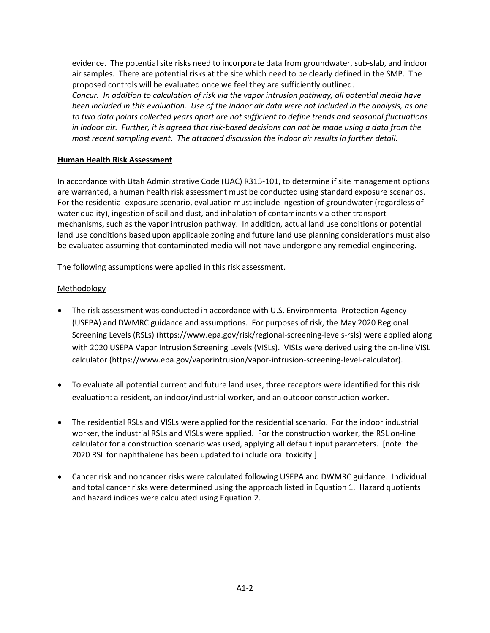evidence. The potential site risks need to incorporate data from groundwater, sub-slab, and indoor air samples. There are potential risks at the site which need to be clearly defined in the SMP. The proposed controls will be evaluated once we feel they are sufficiently outlined.

*Concur. In addition to calculation of risk via the vapor intrusion pathway, all potential media have been included in this evaluation. Use of the indoor air data were not included in the analysis, as one to two data points collected years apart are not sufficient to define trends and seasonal fluctuations in indoor air. Further, it is agreed that risk-based decisions can not be made using a data from the*  most recent sampling event. The attached discussion the indoor air results in further detail.

## **Human Health Risk Assessment**

In accordance with Utah Administrative Code (UAC) R315-101, to determine if site management options are warranted, a human health risk assessment must be conducted using standard exposure scenarios. For the residential exposure scenario, evaluation must include ingestion of groundwater (regardless of water quality), ingestion of soil and dust, and inhalation of contaminants via other transport mechanisms, such as the vapor intrusion pathway. In addition, actual land use conditions or potential land use conditions based upon applicable zoning and future land use planning considerations must also be evaluated assuming that contaminated media will not have undergone any remedial engineering.

The following assumptions were applied in this risk assessment.

# **Methodology**

- The risk assessment was conducted in accordance with U.S. Environmental Protection Agency (USEPA) and DWMRC guidance and assumptions. For purposes of risk, the May 2020 Regional Screening Levels (RSLs) (https://www.epa.gov/risk/regional-screening-levels-rsls) were applied along with 2020 USEPA Vapor Intrusion Screening Levels (VISLs). VISLs were derived using the on-line VISL calculator (https://www.epa.gov/vaporintrusion/vapor-intrusion-screening-level-calculator).
- To evaluate all potential current and future land uses, three receptors were identified for this risk evaluation: a resident, an indoor/industrial worker, and an outdoor construction worker.
- The residential RSLs and VISLs were applied for the residential scenario. For the indoor industrial worker, the industrial RSLs and VISLs were applied. For the construction worker, the RSL on-line calculator for a construction scenario was used, applying all default input parameters. [note: the 2020 RSL for naphthalene has been updated to include oral toxicity.]
- Cancer risk and noncancer risks were calculated following USEPA and DWMRC guidance. Individual and total cancer risks were determined using the approach listed in Equation 1. Hazard quotients and hazard indices were calculated using Equation 2.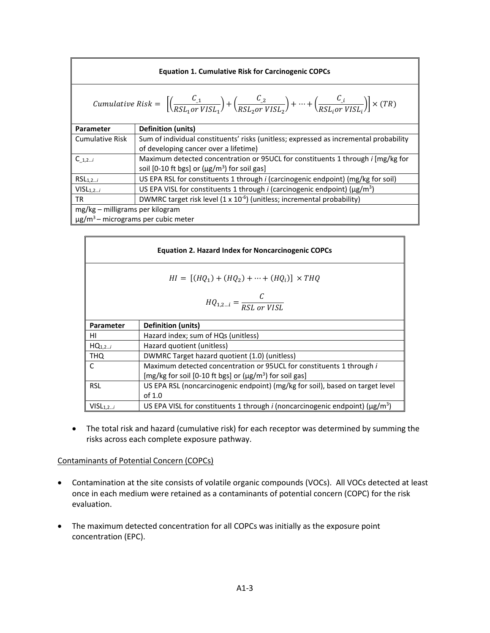| <b>Equation 1. Cumulative Risk for Carcinogenic COPCs</b> |                                                                                                                                                                                                                                |  |  |  |  |  |
|-----------------------------------------------------------|--------------------------------------------------------------------------------------------------------------------------------------------------------------------------------------------------------------------------------|--|--|--|--|--|
|                                                           | <i>Cumulative Risk</i> = $\left[\left(\frac{C_{1}}{RSL_{1}or\text{ }VISL_{2}}\right) + \left(\frac{C_{2}}{RSL_{2}or\text{ }VISL_{2}}\right) + \dots + \left(\frac{C_{L}}{RSL_{2}or\text{ }VISL_{2}}\right)\right] \times (TR)$ |  |  |  |  |  |
| Parameter                                                 | <b>Definition (units)</b>                                                                                                                                                                                                      |  |  |  |  |  |
| <b>Cumulative Risk</b>                                    | Sum of individual constituents' risks (unitless; expressed as incremental probability                                                                                                                                          |  |  |  |  |  |
|                                                           | of developing cancer over a lifetime)                                                                                                                                                                                          |  |  |  |  |  |
| $C_{1,2i}$                                                | Maximum detected concentration or 95UCL for constituents 1 through <i>i</i> [mg/kg for                                                                                                                                         |  |  |  |  |  |
|                                                           | soil [0-10 ft bgs] or $(\mu g/m^3)$ for soil gas]                                                                                                                                                                              |  |  |  |  |  |
| $RSL_{1,2i}$                                              | US EPA RSL for constituents 1 through <i>i</i> (carcinogenic endpoint) (mg/kg for soil)                                                                                                                                        |  |  |  |  |  |
| VISL <sub>1,2i</sub>                                      | US EPA VISL for constituents 1 through <i>i</i> (carcinogenic endpoint) ( $\mu$ g/m <sup>3</sup> )                                                                                                                             |  |  |  |  |  |
| <b>TR</b>                                                 | DWMRC target risk level $(1 \times 10^{-6})$ (unitless; incremental probability)                                                                                                                                               |  |  |  |  |  |
| mg/kg - milligrams per kilogram                           |                                                                                                                                                                                                                                |  |  |  |  |  |
| $\mu$ g/m <sup>3</sup> – micrograms per cubic meter       |                                                                                                                                                                                                                                |  |  |  |  |  |

|                                                     | <b>Equation 2. Hazard Index for Noncarcinogenic COPCs</b>                                             |  |  |  |  |  |
|-----------------------------------------------------|-------------------------------------------------------------------------------------------------------|--|--|--|--|--|
|                                                     | $HI = [(HQ_1) + (HQ_2) + \cdots + (HQ_i)] \times THQ$                                                 |  |  |  |  |  |
| $HQ_{1,2\ldots i} = \frac{C}{RSL \text{ or } VISL}$ |                                                                                                       |  |  |  |  |  |
| Parameter                                           | <b>Definition (units)</b>                                                                             |  |  |  |  |  |
| ΗI                                                  | Hazard index; sum of HQs (unitless)                                                                   |  |  |  |  |  |
| $HQ_{1,2i}$                                         | Hazard quotient (unitless)                                                                            |  |  |  |  |  |
| <b>THQ</b>                                          | DWMRC Target hazard quotient (1.0) (unitless)                                                         |  |  |  |  |  |
| C                                                   | Maximum detected concentration or 95 UCL for constituents 1 through i                                 |  |  |  |  |  |
|                                                     | [mg/kg for soil [0-10 ft bgs] or $(\mu g/m^3)$ for soil gas]                                          |  |  |  |  |  |
| <b>RSL</b>                                          | US EPA RSL (noncarcinogenic endpoint) (mg/kg for soil), based on target level                         |  |  |  |  |  |
|                                                     | of $1.0$                                                                                              |  |  |  |  |  |
| VISL <sub>1,2i</sub>                                | US EPA VISL for constituents 1 through <i>i</i> (noncarcinogenic endpoint) ( $\mu$ g/m <sup>3</sup> ) |  |  |  |  |  |

• The total risk and hazard (cumulative risk) for each receptor was determined by summing the risks across each complete exposure pathway.

### Contaminants of Potential Concern (COPCs)

- Contamination at the site consists of volatile organic compounds (VOCs). All VOCs detected at least once in each medium were retained as a contaminants of potential concern (COPC) for the risk evaluation.
- The maximum detected concentration for all COPCs was initially as the exposure point concentration (EPC).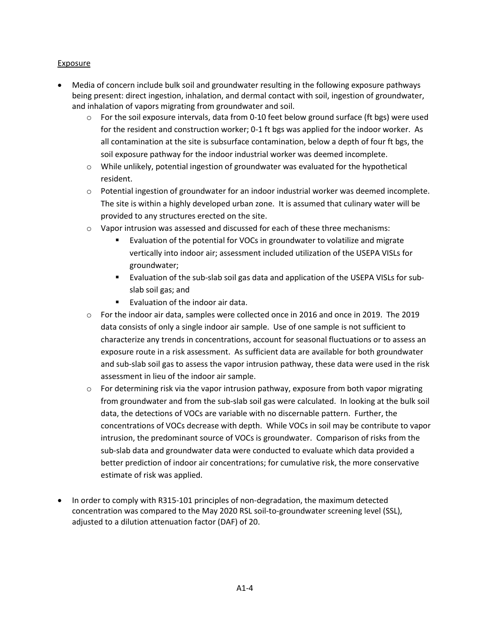# **Exposure**

- Media of concern include bulk soil and groundwater resulting in the following exposure pathways being present: direct ingestion, inhalation, and dermal contact with soil, ingestion of groundwater, and inhalation of vapors migrating from groundwater and soil.
	- $\circ$  For the soil exposure intervals, data from 0-10 feet below ground surface (ft bgs) were used for the resident and construction worker; 0-1 ft bgs was applied for the indoor worker. As all contamination at the site is subsurface contamination, below a depth of four ft bgs, the soil exposure pathway for the indoor industrial worker was deemed incomplete.
	- $\circ$  While unlikely, potential ingestion of groundwater was evaluated for the hypothetical resident.
	- o Potential ingestion of groundwater for an indoor industrial worker was deemed incomplete. The site is within a highly developed urban zone. It is assumed that culinary water will be provided to any structures erected on the site.
	- o Vapor intrusion was assessed and discussed for each of these three mechanisms:
		- Evaluation of the potential for VOCs in groundwater to volatilize and migrate vertically into indoor air; assessment included utilization of the USEPA VISLs for groundwater;
		- Evaluation of the sub-slab soil gas data and application of the USEPA VISLs for subslab soil gas; and
		- Evaluation of the indoor air data.
	- o For the indoor air data, samples were collected once in 2016 and once in 2019. The 2019 data consists of only a single indoor air sample. Use of one sample is not sufficient to characterize any trends in concentrations, account for seasonal fluctuations or to assess an exposure route in a risk assessment. As sufficient data are available for both groundwater and sub-slab soil gas to assess the vapor intrusion pathway, these data were used in the risk assessment in lieu of the indoor air sample.
	- $\circ$  For determining risk via the vapor intrusion pathway, exposure from both vapor migrating from groundwater and from the sub-slab soil gas were calculated. In looking at the bulk soil data, the detections of VOCs are variable with no discernable pattern. Further, the concentrations of VOCs decrease with depth. While VOCs in soil may be contribute to vapor intrusion, the predominant source of VOCs is groundwater. Comparison of risks from the sub-slab data and groundwater data were conducted to evaluate which data provided a better prediction of indoor air concentrations; for cumulative risk, the more conservative estimate of risk was applied.
- In order to comply with R315-101 principles of non-degradation, the maximum detected concentration was compared to the May 2020 RSL soil-to-groundwater screening level (SSL), adjusted to a dilution attenuation factor (DAF) of 20.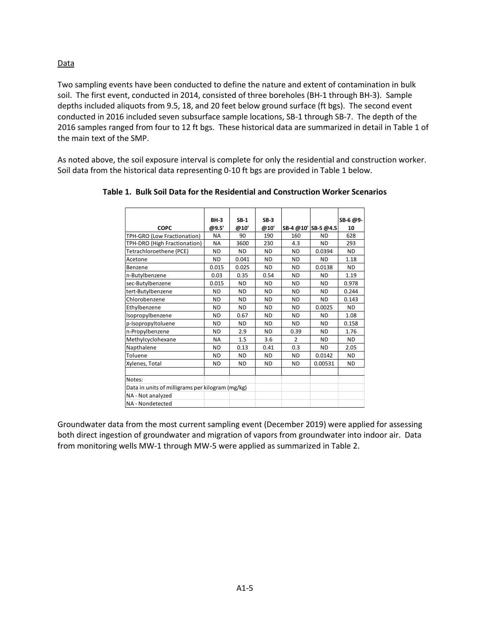### Data

Two sampling events have been conducted to define the nature and extent of contamination in bulk soil. The first event, conducted in 2014, consisted of three boreholes (BH-1 through BH-3). Sample depths included aliquots from 9.5, 18, and 20 feet below ground surface (ft bgs). The second event conducted in 2016 included seven subsurface sample locations, SB-1 through SB-7. The depth of the 2016 samples ranged from four to 12 ft bgs. These historical data are summarized in detail in Table 1 of the main text of the SMP.

As noted above, the soil exposure interval is complete for only the residential and construction worker. Soil data from the historical data representing 0-10 ft bgs are provided in Table 1 below.

|                                                  | <b>BH-3</b> | $SB-1$    | $SB-3$    |           |                     | SB-6 @9-  |
|--------------------------------------------------|-------------|-----------|-----------|-----------|---------------------|-----------|
| <b>COPC</b>                                      | @9.5'       | @10'      | @10'      |           | SB-4 @10' SB-5 @4.5 | 10        |
| TPH-GRO (Low Fractionation)                      | <b>NA</b>   | 90        | 190       | 160       | <b>ND</b>           | 628       |
| TPH-DRO (High Fractionation)                     | <b>NA</b>   | 3600      | 230       | 4.3       | <b>ND</b>           | 293       |
| Tetrachloroethene (PCE)                          | ND          | <b>ND</b> | <b>ND</b> | <b>ND</b> | 0.0394              | ND.       |
| Acetone                                          | ND          | 0.041     | <b>ND</b> | <b>ND</b> | <b>ND</b>           | 1.18      |
| Benzene                                          | 0.015       | 0.025     | ND.       | <b>ND</b> | 0.0138              | ND.       |
| n-Butylbenzene                                   | 0.03        | 0.35      | 0.54      | <b>ND</b> | <b>ND</b>           | 1.19      |
| sec-Butylbenzene                                 | 0.015       | <b>ND</b> | <b>ND</b> | <b>ND</b> | <b>ND</b>           | 0.978     |
| tert-Butylbenzene                                | <b>ND</b>   | <b>ND</b> | <b>ND</b> | <b>ND</b> | <b>ND</b>           | 0.244     |
| Chlorobenzene                                    | ND          | <b>ND</b> | <b>ND</b> | <b>ND</b> | <b>ND</b>           | 0.143     |
| Ethylbenzene                                     | <b>ND</b>   | <b>ND</b> | <b>ND</b> | <b>ND</b> | 0.0025              | <b>ND</b> |
| Isopropylbenzene                                 | <b>ND</b>   | 0.67      | <b>ND</b> | <b>ND</b> | <b>ND</b>           | 1.08      |
| p-Isopropyltoluene                               | <b>ND</b>   | <b>ND</b> | <b>ND</b> | <b>ND</b> | <b>ND</b>           | 0.158     |
| n-Propylbenzene                                  | ND          | 2.9       | <b>ND</b> | 0.39      | <b>ND</b>           | 1.76      |
| Methylcyclohexane                                | <b>NA</b>   | 1.5       | 3.6       | 2         | <b>ND</b>           | ND.       |
| Napthalene                                       | ND          | 0.13      | 0.41      | 0.3       | <b>ND</b>           | 2.05      |
| Toluene                                          | <b>ND</b>   | <b>ND</b> | <b>ND</b> | <b>ND</b> | 0.0142              | <b>ND</b> |
| Xylenes, Total                                   | ND          | <b>ND</b> | <b>ND</b> | <b>ND</b> | 0.00531             | ND        |
|                                                  |             |           |           |           |                     |           |
| Notes:                                           |             |           |           |           |                     |           |
| Data in units of milligrams per kilogram (mg/kg) |             |           |           |           |                     |           |
| NA - Not analyzed                                |             |           |           |           |                     |           |
| NA - Nondetected                                 |             |           |           |           |                     |           |

**Table 1. Bulk Soil Data for the Residential and Construction Worker Scenarios**

Groundwater data from the most current sampling event (December 2019) were applied for assessing both direct ingestion of groundwater and migration of vapors from groundwater into indoor air. Data from monitoring wells MW-1 through MW-5 were applied as summarized in Table 2.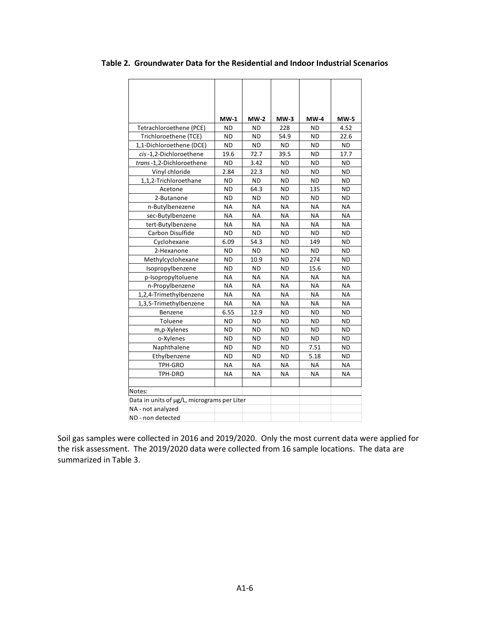|                                             | $MW-1$    | $MW-2$    | $MW-3$    | <b>MW-4</b> | <b>MW-5</b> |
|---------------------------------------------|-----------|-----------|-----------|-------------|-------------|
| Tetrachloroethene (PCE)                     | ND        | <b>ND</b> | 228       | <b>ND</b>   | 4.52        |
| Trichloroethene (TCE)                       | ΝD        | <b>ND</b> | 54.9      | ND          | 22.6        |
| 1,1-Dichloroethene (DCE)                    | <b>ND</b> | <b>ND</b> | <b>ND</b> | <b>ND</b>   | <b>ND</b>   |
| cis-1.2-Dichloroethene                      | 19.6      | 72.7      | 39.5      | <b>ND</b>   | 17.7        |
| trans-1,2-Dichloroethene                    | ΝD        | 3.42      | ND        | <b>ND</b>   | <b>ND</b>   |
| Vinyl chloride                              | 2.84      | 22.3      | <b>ND</b> | <b>ND</b>   | <b>ND</b>   |
| 1,1,2-Trichloroethane                       | <b>ND</b> | <b>ND</b> | <b>ND</b> | <b>ND</b>   | <b>ND</b>   |
| Acetone                                     | <b>ND</b> | 64.3      | ND        | 135         | <b>ND</b>   |
| 2-Butanone                                  | <b>ND</b> | <b>ND</b> | <b>ND</b> | <b>ND</b>   | <b>ND</b>   |
| n-Butylbenezene                             | <b>NA</b> | <b>NA</b> | <b>NA</b> | <b>NA</b>   | <b>NA</b>   |
| sec-Butylbenzene                            | <b>NA</b> | <b>NA</b> | <b>NA</b> | <b>NA</b>   | <b>NA</b>   |
| tert-Butylbenzene                           | <b>NA</b> | <b>NA</b> | <b>NA</b> | <b>NA</b>   | <b>NA</b>   |
| Carbon Disulfide                            | <b>ND</b> | <b>ND</b> | ND        | <b>ND</b>   | <b>ND</b>   |
| Cyclohexane                                 | 6.09      | 54.3      | <b>ND</b> | 149         | <b>ND</b>   |
| 2-Hexanone                                  | <b>ND</b> | <b>ND</b> | ND        | <b>ND</b>   | <b>ND</b>   |
| Methylcyclohexane                           | <b>ND</b> | 10.9      | ND        | 274         | <b>ND</b>   |
| Isopropylbenzene                            | <b>ND</b> | <b>ND</b> | <b>ND</b> | 15.6        | <b>ND</b>   |
| p-Isopropyltoluene                          | <b>NA</b> | <b>NA</b> | <b>NA</b> | <b>NA</b>   | <b>NA</b>   |
| n-Propylbenzene                             | <b>NA</b> | <b>NA</b> | <b>NA</b> | <b>NA</b>   | <b>NA</b>   |
| 1,2,4-Trimethylbenzene                      | <b>NA</b> | <b>NA</b> | <b>NA</b> | <b>NA</b>   | <b>NA</b>   |
| 1,3,5-Trimethylbenzene                      | <b>NA</b> | <b>NA</b> | <b>NA</b> | <b>NA</b>   | <b>NA</b>   |
| Benzene                                     | 6.55      | 12.9      | <b>ND</b> | <b>ND</b>   | <b>ND</b>   |
| Toluene                                     | <b>ND</b> | <b>ND</b> | ND        | <b>ND</b>   | <b>ND</b>   |
| m,p-Xylenes                                 | <b>ND</b> | <b>ND</b> | ND        | <b>ND</b>   | <b>ND</b>   |
| o-Xylenes                                   | <b>ND</b> | <b>ND</b> | <b>ND</b> | <b>ND</b>   | <b>ND</b>   |
| Naphthalene                                 | <b>ND</b> | <b>ND</b> | <b>ND</b> | 7.51        | <b>ND</b>   |
| Ethylbenzene                                | <b>ND</b> | <b>ND</b> | <b>ND</b> | 5.18        | <b>ND</b>   |
| TPH-GRO                                     | <b>NA</b> | <b>NA</b> | <b>NA</b> | <b>NA</b>   | <b>NA</b>   |
| TPH-DRO                                     | ΝA        | ΝA        | ΝA        | ΝA          | ΝA          |
|                                             |           |           |           |             |             |
| Notes:                                      |           |           |           |             |             |
| Data in units of µg/L, micrograms per Liter |           |           |           |             |             |
| NA - not analyzed                           |           |           |           |             |             |
| ND - non detected                           |           |           |           |             |             |

**Table 2. Groundwater Data for the Residential and Indoor Industrial Scenarios**

Soil gas samples were collected in 2016 and 2019/2020. Only the most current data were applied for the risk assessment. The 2019/2020 data were collected from 16 sample locations. The data are summarized in Table 3.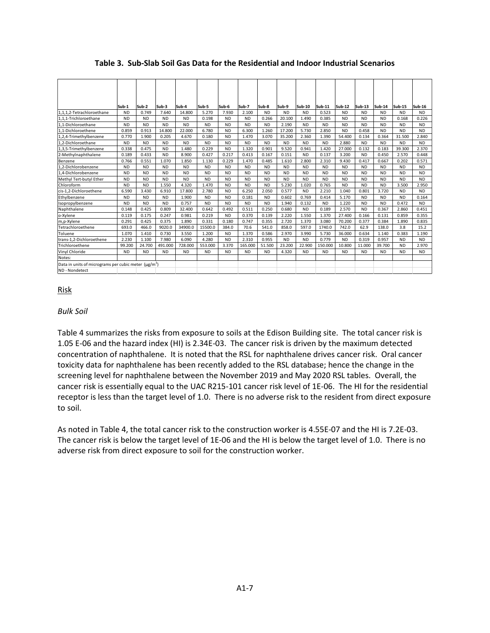|                                                                             | Sub-1     | Sub-2     | Sub-3     | Sub-4     | Sub-5     | Sub-6     | Sub-7     | Sub-8     | Sub-9     | Sub-10    | Sub-11    | <b>Sub-12</b> | Sub-13    | Sub-14    | Sub-15    | <b>Sub-16</b> |
|-----------------------------------------------------------------------------|-----------|-----------|-----------|-----------|-----------|-----------|-----------|-----------|-----------|-----------|-----------|---------------|-----------|-----------|-----------|---------------|
| 1,1,1,2-Tetrachloroethane                                                   | <b>ND</b> | 0.749     | 7.640     | 14.800    | 5.270     | 7.930     | 2.100     | <b>ND</b> | <b>ND</b> | <b>ND</b> | 0.523     | <b>ND</b>     | <b>ND</b> | <b>ND</b> | <b>ND</b> | ND.           |
| 1,1,1-Trichloroethane                                                       | <b>ND</b> | <b>ND</b> | <b>ND</b> | <b>ND</b> | 0.198     | <b>ND</b> | <b>ND</b> | 0.266     | 20,100    | 1.490     | 0.385     | <b>ND</b>     | <b>ND</b> | <b>ND</b> | 0.168     | 0.226         |
| 1.1-Dichloroethane                                                          | <b>ND</b> | <b>ND</b> | <b>ND</b> | <b>ND</b> | <b>ND</b> | <b>ND</b> | <b>ND</b> | <b>ND</b> | 2.190     | <b>ND</b> | <b>ND</b> | <b>ND</b>     | <b>ND</b> | <b>ND</b> | <b>ND</b> | <b>ND</b>     |
| 1.1-Dichloroethene                                                          | 0.859     | 0.913     | 14,800    | 22,000    | 6.780     | <b>ND</b> | 6.300     | 1.260     | 17.200    | 5.730     | 2.850     | <b>ND</b>     | 0.458     | <b>ND</b> | <b>ND</b> | <b>ND</b>     |
| 1,2,4-Trimethylbenzene                                                      | 0.770     | 1.900     | 0.205     | 4.670     | 0.180     | <b>ND</b> | 1.470     | 3.070     | 35.200    | 2.360     | 1.390     | 54,400        | 0.134     | 0.364     | 31.500    | 2.840         |
| 1.2-Dichloroethane                                                          | <b>ND</b> | <b>ND</b> | <b>ND</b> | <b>ND</b> | <b>ND</b> | <b>ND</b> | <b>ND</b> | <b>ND</b> | <b>ND</b> | <b>ND</b> | <b>ND</b> | 2.880         | <b>ND</b> | <b>ND</b> | <b>ND</b> | <b>ND</b>     |
| 1,3,5-Trimethylbenzene                                                      | 0.338     | 0.475     | <b>ND</b> | 1.480     | 0.229     | <b>ND</b> | 1.320     | 0.901     | 9.520     | 0.941     | 1.420     | 27.000        | 0.132     | 0.183     | 39.300    | 2.370         |
| 2-Methylnaphthalene                                                         | 0.189     | 0.433     | <b>ND</b> | 8.900     | 0.427     | 0.217     | 0.413     | 0.167     | 0.151     | <b>ND</b> | 0.137     | 3.200         | <b>ND</b> | 0.450     | 2.570     | 0.448         |
| Benzene                                                                     | 0.766     | 0.551     | 1.070     | 1.850     | 1.130     | 0.229     | 1.470     | 0.485     | 1.610     | 2.800     | 2.310     | 9.430         | 0.417     | 0.667     | 0.202     | 0.571         |
| 1.2-Dichlorobenzene                                                         | <b>ND</b> | <b>ND</b> | <b>ND</b> | <b>ND</b> | <b>ND</b> | <b>ND</b> | <b>ND</b> | <b>ND</b> | <b>ND</b> | <b>ND</b> | <b>ND</b> | <b>ND</b>     | <b>ND</b> | <b>ND</b> | <b>ND</b> | <b>ND</b>     |
| 1,4-Dichlorobenzene                                                         | <b>ND</b> | <b>ND</b> | <b>ND</b> | <b>ND</b> | <b>ND</b> | <b>ND</b> | <b>ND</b> | <b>ND</b> | <b>ND</b> | <b>ND</b> | <b>ND</b> | <b>ND</b>     | <b>ND</b> | <b>ND</b> | <b>ND</b> | <b>ND</b>     |
| Methyl Tert-butyl Ether                                                     | <b>ND</b> | <b>ND</b> | <b>ND</b> | <b>ND</b> | <b>ND</b> | <b>ND</b> | <b>ND</b> | <b>ND</b> | <b>ND</b> | <b>ND</b> | <b>ND</b> | <b>ND</b>     | <b>ND</b> | <b>ND</b> | <b>ND</b> | <b>ND</b>     |
| Chloroform                                                                  | <b>ND</b> | <b>ND</b> | 1.550     | 4.320     | 1.470     | <b>ND</b> | <b>ND</b> | <b>ND</b> | 5.230     | 1.020     | 0.765     | <b>ND</b>     | <b>ND</b> | <b>ND</b> | 3.500     | 2.950         |
| cis-1.2-Dichloroethene                                                      | 6.590     | 3.430     | 6.910     | 17,800    | 2.780     | <b>ND</b> | 6.250     | 2.050     | 0.577     | <b>ND</b> | 2.210     | 1.040         | 0.801     | 3.720     | <b>ND</b> | <b>ND</b>     |
| Ethylbenzene                                                                | <b>ND</b> | <b>ND</b> | <b>ND</b> | 1.900     | <b>ND</b> | <b>ND</b> | 0.181     | <b>ND</b> | 0.602     | 0.769     | 0.414     | 5.170         | <b>ND</b> | <b>ND</b> | <b>ND</b> | 0.164         |
| Isopropylbenzene                                                            | <b>ND</b> | <b>ND</b> | <b>ND</b> | 0.757     | <b>ND</b> | <b>ND</b> | <b>ND</b> | <b>ND</b> | 1.940     | 0.132     | <b>ND</b> | 1.220         | <b>ND</b> | <b>ND</b> | 0.472     | <b>ND</b>     |
| Naphthalene                                                                 | 0.148     | 0.425     | 0.809     | 32.400    | 0.642     | 0.492     | 0.511     | 0.250     | 0.680     | <b>ND</b> | 0.189     | 2.570         | <b>ND</b> | 0.367     | 2.860     | 0.451         |
| o-Xylene                                                                    | 0.119     | 0.175     | 0.247     | 0.981     | 0.219     | <b>ND</b> | 0.370     | 0.139     | 2.220     | 1.550     | 1.370     | 27,400        | 0.166     | 0.131     | 0.859     | 0.355         |
| m,p-Xylene                                                                  | 0.291     | 0.425     | 0.375     | 1.890     | 0.331     | 0.180     | 0.747     | 0.355     | 2.720     | 1.370     | 3.080     | 70.200        | 0.377     | 0.384     | 1.890     | 0.835         |
| Tetrachloroethene                                                           | 693.0     | 466.0     | 9020.0    | 34900.0   | 15500.0   | 384.0     | 70.6      | 541.0     | 858.0     | 597.0     | 1740.0    | 742.0         | 62.9      | 138.0     | 3.8       | 15.2          |
| Toluene                                                                     | 1.070     | 1.410     | 0.730     | 3.550     | 1.200     | <b>ND</b> | 1.370     | 0.586     | 2.970     | 3.990     | 5.730     | 36.000        | 0.634     | 1.140     | 0.383     | 1.190         |
| trans-1.2-Dichloroethene                                                    | 2.230     | 1.100     | 7.980     | 6.090     | 4.280     | <b>ND</b> | 2.310     | 0.955     | <b>ND</b> | <b>ND</b> | 0.779     | <b>ND</b>     | 0.319     | 0.957     | <b>ND</b> | <b>ND</b>     |
| Trichloroethene                                                             | 99.200    | 24,700    | 491.000   | 728,000   | 553.000   | 3.370     | 165,000   | 51.500    | 23,200    | 22.900    | 150,000   | 10.800        | 11.000    | 39.700    | <b>ND</b> | 2.970         |
| Vinyl Chloride                                                              | <b>ND</b> | <b>ND</b> | <b>ND</b> | <b>ND</b> | <b>ND</b> | <b>ND</b> | <b>ND</b> | <b>ND</b> | 4.320     | <b>ND</b> | <b>ND</b> | <b>ND</b>     | <b>ND</b> | <b>ND</b> | <b>ND</b> | <b>ND</b>     |
| Notes:                                                                      |           |           |           |           |           |           |           |           |           |           |           |               |           |           |           |               |
| Data in units of micrograms per cubic meter $(\mu g/m^3)$<br>ND - Nondetect |           |           |           |           |           |           |           |           |           |           |           |               |           |           |           |               |

**Table 3. Sub-Slab Soil Gas Data for the Residential and Indoor Industrial Scenarios**

## Risk

### *Bulk Soil*

Table 4 summarizes the risks from exposure to soils at the Edison Building site. The total cancer risk is 1.05 E-06 and the hazard index (HI) is 2.34E-03. The cancer risk is driven by the maximum detected concentration of naphthalene. It is noted that the RSL for naphthalene drives cancer risk. Oral cancer toxicity data for naphthalene has been recently added to the RSL database; hence the change in the screening level for naphthalene between the November 2019 and May 2020 RSL tables. Overall, the cancer risk is essentially equal to the UAC R215-101 cancer risk level of 1E-06. The HI for the residential receptor is less than the target level of 1.0. There is no adverse risk to the resident from direct exposure to soil.

As noted in Table 4, the total cancer risk to the construction worker is 4.55E-07 and the HI is 7.2E-03. The cancer risk is below the target level of 1E-06 and the HI is below the target level of 1.0. There is no adverse risk from direct exposure to soil for the construction worker.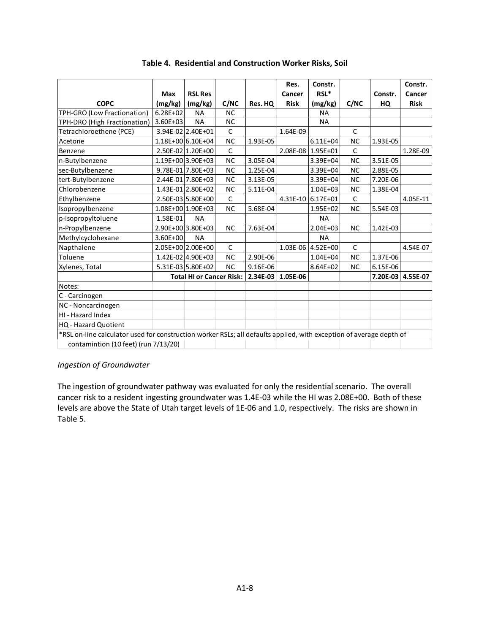|                                                                                                                     |              |                                 |              |          | Res.                | Constr.           |              |          | Constr.           |
|---------------------------------------------------------------------------------------------------------------------|--------------|---------------------------------|--------------|----------|---------------------|-------------------|--------------|----------|-------------------|
|                                                                                                                     | Max          | <b>RSL Res</b>                  |              |          | Cancer              | $RSL^*$           |              | Constr.  | Cancer            |
| <b>COPC</b>                                                                                                         | (mg/kg)      | (mg/kg)                         | C/NC         | Res. HQ  | <b>Risk</b>         | (mg/kg)           | C/NC         | HQ       | <b>Risk</b>       |
| TPH-GRO (Low Fractionation)                                                                                         | $6.28E + 02$ | <b>NA</b>                       | <b>NC</b>    |          |                     | <b>NA</b>         |              |          |                   |
| TPH-DRO (High Fractionation)                                                                                        | $3.60E + 03$ | <b>NA</b>                       | <b>NC</b>    |          |                     | <b>NA</b>         |              |          |                   |
| Tetrachloroethene (PCE)                                                                                             |              | 3.94E-02 2.40E+01               | $\mathsf C$  |          | 1.64E-09            |                   | $\mathsf{C}$ |          |                   |
| Acetone                                                                                                             |              | 1.18E+00 6.10E+04               | <b>NC</b>    | 1.93E-05 |                     | $6.11E + 04$      | <b>NC</b>    | 1.93E-05 |                   |
| Benzene                                                                                                             |              | 2.50E-02 1.20E+00               | $\mathsf{C}$ |          |                     | 2.08E-08 1.95E+01 | $\mathsf{C}$ |          | 1.28E-09          |
| n-Butylbenzene                                                                                                      |              | 1.19E+00 3.90E+03               | <b>NC</b>    | 3.05E-04 |                     | $3.39E + 04$      | <b>NC</b>    | 3.51E-05 |                   |
| sec-Butylbenzene                                                                                                    |              | 9.78E-01 7.80E+03               | <b>NC</b>    | 1.25E-04 |                     | 3.39E+04          | <b>NC</b>    | 2.88E-05 |                   |
| tert-Butylbenzene                                                                                                   |              | 2.44E-01 7.80E+03               | <b>NC</b>    | 3.13E-05 |                     | 3.39E+04          | <b>NC</b>    | 7.20E-06 |                   |
| Chlorobenzene                                                                                                       |              | 1.43E-01 2.80E+02               | <b>NC</b>    | 5.11E-04 |                     | $1.04E + 03$      | <b>NC</b>    | 1.38E-04 |                   |
| Ethylbenzene                                                                                                        |              | 2.50E-03 5.80E+00               | $\mathsf C$  |          |                     | 4.31E-10 6.17E+01 | $\mathsf{C}$ |          | 4.05E-11          |
| Isopropylbenzene                                                                                                    |              | 1.08E+00 1.90E+03               | <b>NC</b>    | 5.68E-04 |                     | $1.95E + 02$      | <b>NC</b>    | 5.54E-03 |                   |
| p-Isopropyltoluene                                                                                                  | 1.58E-01     | <b>NA</b>                       |              |          |                     | <b>NA</b>         |              |          |                   |
| n-Propylbenzene                                                                                                     |              | 2.90E+00 3.80E+03               | <b>NC</b>    | 7.63E-04 |                     | $2.04E + 03$      | <b>NC</b>    | 1.42E-03 |                   |
| Methylcyclohexane                                                                                                   | $3.60E + 00$ | <b>NA</b>                       |              |          |                     | <b>NA</b>         |              |          |                   |
| Napthalene                                                                                                          |              | 2.05E+00 2.00E+00               | $\mathsf{C}$ |          |                     | 1.03E-06 4.52E+00 | $\mathsf{C}$ |          | 4.54E-07          |
| Toluene                                                                                                             |              | 1.42E-02 4.90E+03               | <b>NC</b>    | 2.90E-06 |                     | $1.04E + 04$      | <b>NC</b>    | 1.37E-06 |                   |
| Xylenes, Total                                                                                                      |              | 5.31E-03 5.80E+02               | <b>NC</b>    | 9.16E-06 |                     | $8.64E + 02$      | <b>NC</b>    | 6.15E-06 |                   |
|                                                                                                                     |              | <b>Total HI or Cancer Risk:</b> |              |          | 2.34E-03   1.05E-06 |                   |              |          | 7.20E-03 4.55E-07 |
| Notes:                                                                                                              |              |                                 |              |          |                     |                   |              |          |                   |
| C - Carcinogen                                                                                                      |              |                                 |              |          |                     |                   |              |          |                   |
| NC - Noncarcinogen                                                                                                  |              |                                 |              |          |                     |                   |              |          |                   |
| HI - Hazard Index                                                                                                   |              |                                 |              |          |                     |                   |              |          |                   |
| <b>HQ</b> - Hazard Quotient                                                                                         |              |                                 |              |          |                     |                   |              |          |                   |
| *RSL on-line calculator used for construction worker RSLs; all defaults applied, with exception of average depth of |              |                                 |              |          |                     |                   |              |          |                   |
| contamintion (10 feet) (run 7/13/20)                                                                                |              |                                 |              |          |                     |                   |              |          |                   |

### **Table 4. Residential and Construction Worker Risks, Soil**

### *Ingestion of Groundwater*

The ingestion of groundwater pathway was evaluated for only the residential scenario. The overall cancer risk to a resident ingesting groundwater was 1.4E-03 while the HI was 2.08E+00. Both of these levels are above the State of Utah target levels of 1E-06 and 1.0, respectively. The risks are shown in Table 5.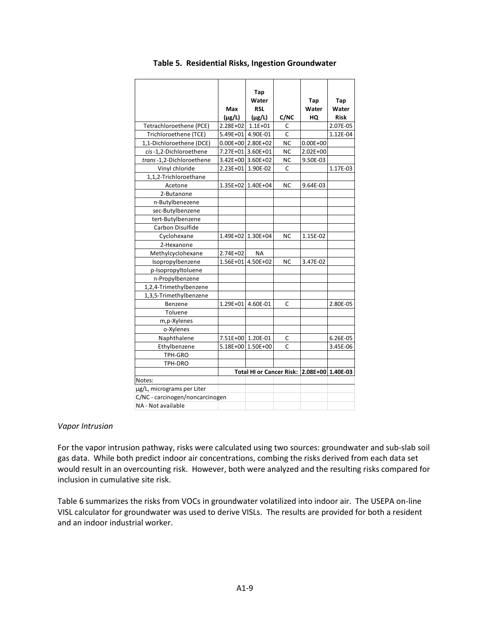|                                 |                   | Tap                                        |                |              |             |
|---------------------------------|-------------------|--------------------------------------------|----------------|--------------|-------------|
|                                 |                   | Water                                      |                | Tap          | Tap         |
|                                 | Max               | <b>RSL</b>                                 |                | Water        | Water       |
|                                 | $(\mu$ g/L)       | $(\mu$ g/L)                                | C/NC           | HQ           | <b>Risk</b> |
| Tetrachloroethene (PCE)         | 2.28E+02          | $1.1E + 01$                                | C              |              | 2.07E-05    |
| Trichloroethene (TCE)           | 5.49E+01 4.90E-01 |                                            | Ċ              |              | 1.12E-04    |
| 1,1-Dichloroethene (DCE)        |                   | $0.00E+00$ 2.80E+02                        | <b>NC</b>      | $0.00E + 00$ |             |
| cis-1,2-Dichloroethene          |                   | 7.27E+01 3.60E+01                          | <b>NC</b>      | 2.02E+00     |             |
| trans-1,2-Dichloroethene        |                   | 3.42E+00 3.60E+02                          | <b>NC</b>      | 9.50E-03     |             |
| Vinyl chloride                  | $2.23E + 01$      | 1.90E-02                                   | C              |              | 1.17E-03    |
| 1,1,2-Trichloroethane           |                   |                                            |                |              |             |
| Acetone                         |                   | 1.35E+02 1.40E+04                          | <b>NC</b>      | 9.64E-03     |             |
| 2-Butanone                      |                   |                                            |                |              |             |
| n-Butylbenezene                 |                   |                                            |                |              |             |
| sec-Butylbenzene                |                   |                                            |                |              |             |
| tert-Butylbenzene               |                   |                                            |                |              |             |
| Carbon Disulfide                |                   |                                            |                |              |             |
| Cyclohexane                     |                   | 1.49E+02 1.30E+04                          | ΝC             | 1.15E-02     |             |
| 2-Hexanone                      |                   |                                            |                |              |             |
| Methylcyclohexane               | 2.74E+02          | <b>NA</b>                                  |                |              |             |
| Isopropylbenzene                |                   | 1.56E+01 4.50E+02                          | N <sub>C</sub> | 3.47E-02     |             |
| p-Isopropyltoluene              |                   |                                            |                |              |             |
| n-Propylbenzene                 |                   |                                            |                |              |             |
| 1,2,4-Trimethylbenzene          |                   |                                            |                |              |             |
| 1,3,5-Trimethylbenzene          |                   |                                            |                |              |             |
| Benzene                         | $1.29E + 01$      | 4.60E-01                                   | C              |              | 2.80E-05    |
| Toluene                         |                   |                                            |                |              |             |
| m,p-Xylenes                     |                   |                                            |                |              |             |
| o-Xylenes                       |                   |                                            |                |              |             |
| Naphthalene                     | 7.51E+00 1.20E-01 |                                            | C              |              | 6.26E-05    |
| Ethylbenzene                    |                   | 5.18E+00 1.50E+00                          | Ċ              |              | 3.45E-06    |
| TPH-GRO                         |                   |                                            |                |              |             |
| TPH-DRO                         |                   |                                            |                |              |             |
|                                 |                   | Total HI or Cancer Risk: 2.08E+00 1.40E-03 |                |              |             |
| Notes:                          |                   |                                            |                |              |             |
| µg/L, micrograms per Liter      |                   |                                            |                |              |             |
| C/NC - carcinogen/noncarcinogen |                   |                                            |                |              |             |
| NA - Not available              |                   |                                            |                |              |             |

#### **Table 5. Residential Risks, Ingestion Groundwater**

#### *Vapor Intrusion*

For the vapor intrusion pathway, risks were calculated using two sources: groundwater and sub-slab soil gas data. While both predict indoor air concentrations, combing the risks derived from each data set would result in an overcounting risk. However, both were analyzed and the resulting risks compared for inclusion in cumulative site risk.

Table 6 summarizes the risks from VOCs in groundwater volatilized into indoor air. The USEPA on-line VISL calculator for groundwater was used to derive VISLs. The results are provided for both a resident and an indoor industrial worker.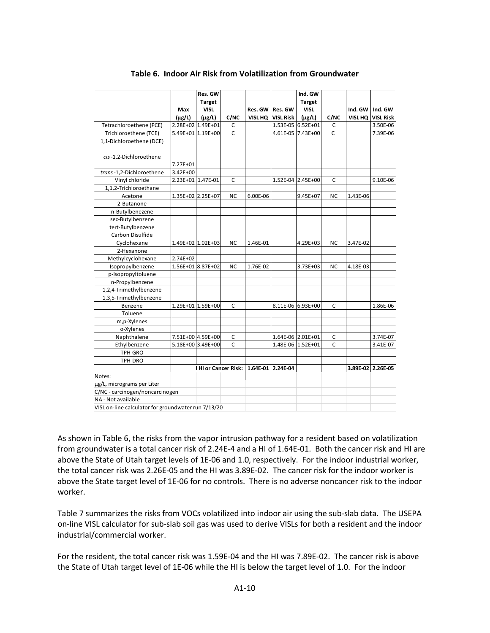|                                                     |                   | Res. GW            |             |          |                   | Ind. GW           |             |          |                   |
|-----------------------------------------------------|-------------------|--------------------|-------------|----------|-------------------|-------------------|-------------|----------|-------------------|
|                                                     |                   | <b>Target</b>      |             |          |                   | <b>Target</b>     |             |          |                   |
|                                                     | Max               | <b>VISL</b>        |             |          | Res. GW   Res. GW | <b>VISL</b>       |             | Ind. GW  | Ind. GW           |
|                                                     | $(\mu$ g/L)       | $(\mu$ g/L)        | C/NC        |          | VISL HQ VISL Risk | $(\mu$ g/L)       | C/NC        | VISL HQ  | <b>VISL Risk</b>  |
| Tetrachloroethene (PCE)                             | 2.28E+02 1.49E+01 |                    | $\mathsf C$ |          |                   | 1.53E-05 6.52E+01 | C           |          | 3.50E-06          |
| Trichloroethene (TCE)                               | 5.49E+01 1.19E+00 |                    | C           |          |                   | 4.61E-05 7.43E+00 | C           |          | 7.39E-06          |
| 1,1-Dichloroethene (DCE)                            |                   |                    |             |          |                   |                   |             |          |                   |
| cis-1,2-Dichloroethene                              |                   |                    |             |          |                   |                   |             |          |                   |
|                                                     | 7.27E+01          |                    |             |          |                   |                   |             |          |                   |
| trans-1,2-Dichloroethene                            | 3.42E+00          |                    |             |          |                   |                   |             |          |                   |
| Vinyl chloride                                      | 2.23E+01 1.47E-01 |                    | C           |          |                   | 1.52E-04 2.45E+00 | C           |          | 9.10E-06          |
| 1,1,2-Trichloroethane                               |                   |                    |             |          |                   |                   |             |          |                   |
| Acetone                                             | 1.35E+02 2.25E+07 |                    | NC          | 6.00E-06 |                   | 9.45E+07          | <b>NC</b>   | 1.43E-06 |                   |
| 2-Butanone                                          |                   |                    |             |          |                   |                   |             |          |                   |
| n-Butylbenezene                                     |                   |                    |             |          |                   |                   |             |          |                   |
| sec-Butylbenzene                                    |                   |                    |             |          |                   |                   |             |          |                   |
| tert-Butylbenzene                                   |                   |                    |             |          |                   |                   |             |          |                   |
| Carbon Disulfide                                    |                   |                    |             |          |                   |                   |             |          |                   |
| Cyclohexane                                         | 1.49E+02 1.02E+03 |                    | <b>NC</b>   | 1.46E-01 |                   | 4.29E+03          | <b>NC</b>   | 3.47E-02 |                   |
| 2-Hexanone                                          |                   |                    |             |          |                   |                   |             |          |                   |
| Methylcyclohexane                                   | $2.74E + 02$      |                    |             |          |                   |                   |             |          |                   |
| Isopropylbenzene                                    | 1.56E+01 8.87E+02 |                    | NC          | 1.76E-02 |                   | 3.73E+03          | NC          | 4.18E-03 |                   |
| p-Isopropyltoluene                                  |                   |                    |             |          |                   |                   |             |          |                   |
| n-Propylbenzene                                     |                   |                    |             |          |                   |                   |             |          |                   |
| 1,2,4-Trimethylbenzene                              |                   |                    |             |          |                   |                   |             |          |                   |
| 1,3,5-Trimethylbenzene                              |                   |                    |             |          |                   |                   |             |          |                   |
| Benzene                                             |                   | 1.29E+01 1.59E+00  | C           |          |                   | 8.11E-06 6.93E+00 | C           |          | 1.86E-06          |
| Toluene                                             |                   |                    |             |          |                   |                   |             |          |                   |
| m,p-Xylenes                                         |                   |                    |             |          |                   |                   |             |          |                   |
| o-Xylenes                                           |                   |                    |             |          |                   |                   |             |          |                   |
| Naphthalene                                         |                   | 7.51E+00 4.59E+00  | C           |          |                   | 1.64E-06 2.01E+01 | C           |          | 3.74E-07          |
| Ethylbenzene                                        |                   | 5.18E+00 3.49E+00  | $\mathsf C$ |          |                   | 1.48E-06 1.52E+01 | $\mathsf C$ |          | 3.41E-07          |
| TPH-GRO                                             |                   |                    |             |          |                   |                   |             |          |                   |
| TPH-DRO                                             |                   |                    |             |          |                   |                   |             |          |                   |
|                                                     |                   | HI or Cancer Risk: |             |          | 1.64E-01 2.24E-04 |                   |             |          | 3.89E-02 2.26E-05 |
| Notes:                                              |                   |                    |             |          |                   |                   |             |          |                   |
| µg/L, micrograms per Liter                          |                   |                    |             |          |                   |                   |             |          |                   |
| C/NC - carcinogen/noncarcinogen                     |                   |                    |             |          |                   |                   |             |          |                   |
| NA - Not available                                  |                   |                    |             |          |                   |                   |             |          |                   |
| VISL on-line calculator for groundwater run 7/13/20 |                   |                    |             |          |                   |                   |             |          |                   |

#### **Table 6. Indoor Air Risk from Volatilization from Groundwater**

As shown in Table 6, the risks from the vapor intrusion pathway for a resident based on volatilization from groundwater is a total cancer risk of 2.24E-4 and a HI of 1.64E-01. Both the cancer risk and HI are above the State of Utah target levels of 1E-06 and 1.0, respectively. For the indoor industrial worker, the total cancer risk was 2.26E-05 and the HI was 3.89E-02. The cancer risk for the indoor worker is above the State target level of 1E-06 for no controls. There is no adverse noncancer risk to the indoor worker.

Table 7 summarizes the risks from VOCs volatilized into indoor air using the sub-slab data. The USEPA on-line VISL calculator for sub-slab soil gas was used to derive VISLs for both a resident and the indoor industrial/commercial worker.

For the resident, the total cancer risk was 1.59E-04 and the HI was 7.89E-02. The cancer risk is above the State of Utah target level of 1E-06 while the HI is below the target level of 1.0. For the indoor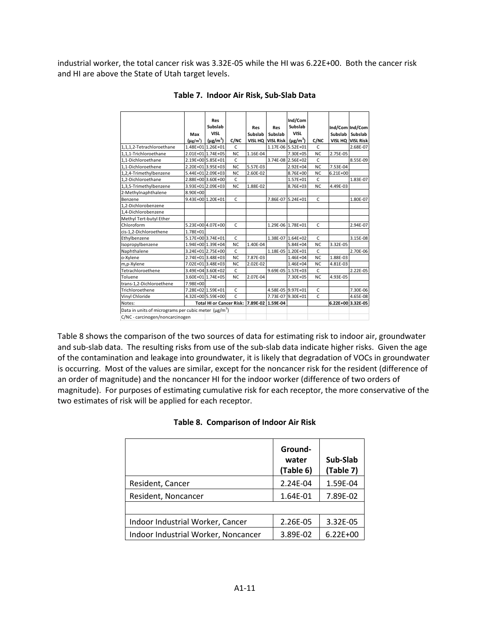industrial worker, the total cancer risk was 3.32E-05 while the HI was 6.22E+00. Both the cancer risk and HI are above the State of Utah target levels.

|                                                                  |                           | <b>Res</b>                      |              |                   |                   | Ind/Com           |              |                   |                   |
|------------------------------------------------------------------|---------------------------|---------------------------------|--------------|-------------------|-------------------|-------------------|--------------|-------------------|-------------------|
|                                                                  |                           | Subslab                         |              | Res               | Res               | Subslab           |              | Ind/Com Ind/Com   |                   |
|                                                                  | Max                       | <b>VISL</b>                     |              | Subslab           | Subslab           | <b>VISL</b>       |              | Subslab Subslab   |                   |
|                                                                  | $(\mu$ g/m <sup>3</sup> ) | $(\mu g/m^3)$                   | C/NC         |                   | VISL HQ VISL Risk | $(\mu g/m^3)$     | C/NC         |                   | VISL HQ VISL Risk |
|                                                                  |                           | 1.48E+01 1.26E+01               | $\mathsf{C}$ |                   |                   | 1.17E-06 5.52E+01 | C            |                   |                   |
| 1,1,1,2-Tetrachloroethane                                        |                           |                                 |              |                   |                   |                   |              |                   | 2.68E-07          |
| 1,1,1-Trichloroethane                                            |                           | 2.01E+01 1.74E+05               | <b>NC</b>    | 1.16E-04          |                   | 7.30E+05          | <b>NC</b>    | 2.75E-05          |                   |
| 1.1-Dichloroethane                                               |                           | 2.19E+00 5.85E+01               | C            |                   |                   | 3.74E-08 2.56E+02 | $\mathsf{C}$ |                   | 8.55E-09          |
| 1.1-Dichloroethene                                               |                           | 2.20E+01 3.95E+03               | <b>NC</b>    | 5.57E-03          |                   | 2.92E+04          | <b>NC</b>    | 7.53E-04          |                   |
| 1,2,4-Trimethylbenzene                                           |                           | 5.44E+01 2.09E+03               | <b>NC</b>    | 2.60E-02          |                   | 8.76E+00          | <b>NC</b>    | $6.21E + 00$      |                   |
| 1.2-Dichloroethane                                               |                           | 2.88E+00 3.60E+00               | C            |                   |                   | 1.57E+01          | $\mathsf{C}$ |                   | 1.83E-07          |
| 1,3,5-Trimethylbenzene                                           |                           | 3.93E+01 2.09E+03               | <b>NC</b>    | 1.88E-02          |                   | 8.76E+03          | <b>NC</b>    | 4.49E-03          |                   |
| 2-Methylnaphthalene                                              | 8.90E+00                  |                                 |              |                   |                   |                   |              |                   |                   |
| Benzene                                                          |                           | 9.43E+00 1.20E+01               | $\mathsf{C}$ |                   |                   | 7.86E-07 5.24E+01 | $\mathsf{C}$ |                   | 1.80E-07          |
| 1.2-Dichlorobenzene                                              |                           |                                 |              |                   |                   |                   |              |                   |                   |
| 1,4-Dichlorobenzene                                              |                           |                                 |              |                   |                   |                   |              |                   |                   |
| Methyl Tert-butyl Ether                                          |                           |                                 |              |                   |                   |                   |              |                   |                   |
| Chloroform                                                       |                           | 5.23E+00 4.07E+00               | $\mathsf{C}$ |                   |                   | 1.29E-06 1.78E+01 | $\mathsf{C}$ |                   | 2.94E-07          |
| cis-1,2-Dichloroethene                                           | 1.78E+01                  |                                 |              |                   |                   |                   |              |                   |                   |
| Ethylbenzene                                                     |                           | 5.17E+00 3.74E+01               | C            |                   |                   | 1.38E-07 1.64E+02 | C            |                   | 3.15E-08          |
| Isopropylbenzene                                                 |                           | 1.94E+00 1.39E+04               | <b>NC</b>    | 1.40E-04          |                   | 5.84E+04          | <b>NC</b>    | 3.32E-05          |                   |
| Naphthalene                                                      |                           | 3.24E+01 2.75E+00               | $\mathsf{C}$ |                   |                   | 1.18E-05 1.20E+01 | $\mathsf{C}$ |                   | 2.70E-06          |
| o-Xylene                                                         |                           | 2.74E+01 3.48E+03               | <b>NC</b>    | 7.87E-03          |                   | 1.46E+04          | <b>NC</b>    | 1.88E-03          |                   |
| m,p-Xylene                                                       |                           | 7.02E+01 3.48E+03               | <b>NC</b>    | 2.02E-02          |                   | 1.46E+04          | <b>NC</b>    | 4.81E-03          |                   |
| Tetrachloroethene                                                |                           | 3.49E+04 3.60E+02               | $\mathsf{C}$ |                   |                   | 9.69E-05 1.57E+03 | $\mathsf{C}$ |                   | 2.22E-05          |
| Toluene                                                          |                           | 3.60E+01 1.74E+05               | <b>NC</b>    | 2.07E-04          |                   | 7.30E+05          | <b>NC</b>    | 4.93E-05          |                   |
| trans-1,2-Dichloroethene                                         | 7.98E+00                  |                                 |              |                   |                   |                   |              |                   |                   |
| Trichloroethene                                                  |                           | 7.28E+02 1.59E+01               | C            |                   |                   | 4.58E-05 9.97E+01 | $\mathsf{C}$ |                   | 7.30E-06          |
| Vinyl Chloride                                                   |                           | 4.32E+00 5.59E+00               | C.           |                   |                   | 7.73E-07 9.30E+01 | $\mathsf{C}$ |                   | 4.65E-08          |
| Notes:                                                           |                           | <b>Total HI or Cancer Risk:</b> |              | 7.89E-02 1.59E-04 |                   |                   |              | 6.22E+00 3.32E-05 |                   |
| Data in units of micrograms per cubic meter (µg/m <sup>3</sup> ) |                           |                                 |              |                   |                   |                   |              |                   |                   |
| C/NC - carcinogen/noncarcinogen                                  |                           |                                 |              |                   |                   |                   |              |                   |                   |

#### **Table 7. Indoor Air Risk, Sub-Slab Data**

Table 8 shows the comparison of the two sources of data for estimating risk to indoor air, groundwater and sub-slab data. The resulting risks from use of the sub-slab data indicate higher risks. Given the age of the contamination and leakage into groundwater, it is likely that degradation of VOCs in groundwater is occurring. Most of the values are similar, except for the noncancer risk for the resident (difference of an order of magnitude) and the noncancer HI for the indoor worker (difference of two orders of magnitude). For purposes of estimating cumulative risk for each receptor, the more conservative of the two estimates of risk will be applied for each receptor.

|  | Table 8. Comparison of Indoor Air Risk |  |  |
|--|----------------------------------------|--|--|
|--|----------------------------------------|--|--|

|                                     | Ground-<br>water<br>(Table 6) | Sub-Slab<br>(Table 7) |
|-------------------------------------|-------------------------------|-----------------------|
| Resident, Cancer                    | 2.24E-04                      | 1.59E-04              |
| Resident, Noncancer                 | 1.64E-01                      | 7.89E-02              |
|                                     |                               |                       |
| Indoor Industrial Worker, Cancer    | 2.26E-05                      | 3.32E-05              |
| Indoor Industrial Worker, Noncancer | 3.89E-02                      | $6.22E + 00$          |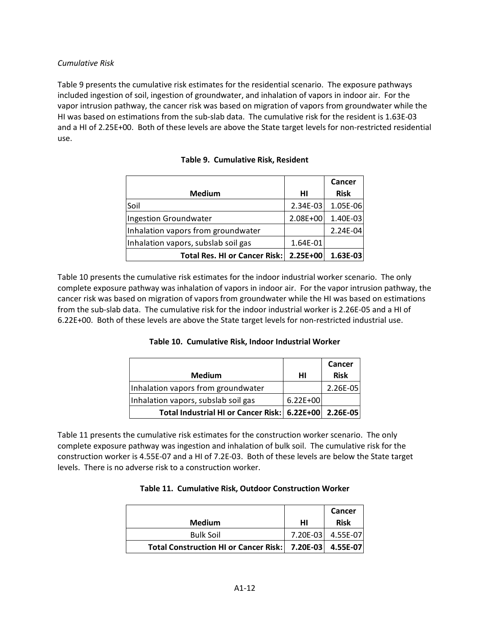### *Cumulative Risk*

Table 9 presents the cumulative risk estimates for the residential scenario. The exposure pathways included ingestion of soil, ingestion of groundwater, and inhalation of vapors in indoor air. For the vapor intrusion pathway, the cancer risk was based on migration of vapors from groundwater while the HI was based on estimations from the sub-slab data. The cumulative risk for the resident is 1.63E-03 and a HI of 2.25E+00. Both of these levels are above the State target levels for non-restricted residential use.

|                                     |          | Cancer      |
|-------------------------------------|----------|-------------|
| <b>Medium</b>                       | HI       | <b>Risk</b> |
| Soil                                | 2.34E-03 | 1.05E-06    |
| Ingestion Groundwater               | 2.08E+00 | 1.40E-03    |
| Inhalation vapors from groundwater  |          | 2.24E-04    |
| Inhalation vapors, subslab soil gas | 1.64E-01 |             |
| Total Res. HI or Cancer Risk:       | 2.25E+00 | 1.63E-03    |

# **Table 9. Cumulative Risk, Resident**

Table 10 presents the cumulative risk estimates for the indoor industrial worker scenario. The only complete exposure pathway was inhalation of vapors in indoor air. For the vapor intrusion pathway, the cancer risk was based on migration of vapors from groundwater while the HI was based on estimations from the sub-slab data. The cumulative risk for the indoor industrial worker is 2.26E-05 and a HI of 6.22E+00. Both of these levels are above the State target levels for non-restricted industrial use.

**Table 10. Cumulative Risk, Indoor Industrial Worker**

|                                                       |              | Cancer      |
|-------------------------------------------------------|--------------|-------------|
| <b>Medium</b>                                         | HI           | <b>Risk</b> |
| Inhalation vapors from groundwater                    |              | $2.26E-05$  |
| Inhalation vapors, subslab soil gas                   | $6.22E + 00$ |             |
| Total Industrial HI or Cancer Risk: 6.22E+00 2.26E-05 |              |             |

Table 11 presents the cumulative risk estimates for the construction worker scenario. The only complete exposure pathway was ingestion and inhalation of bulk soil. The cumulative risk for the construction worker is 4.55E-07 and a HI of 7.2E-03. Both of these levels are below the State target levels. There is no adverse risk to a construction worker.

|  | Table 11. Cumulative Risk, Outdoor Construction Worker |
|--|--------------------------------------------------------|
|--|--------------------------------------------------------|

| <b>Medium</b>                                             | нı       | Cancer<br><b>Risk</b> |
|-----------------------------------------------------------|----------|-----------------------|
| <b>Bulk Soil</b>                                          | 7.20E-03 | 4.55E-07              |
| Total Construction HI or Cancer Risk:   7.20E-03 4.55E-07 |          |                       |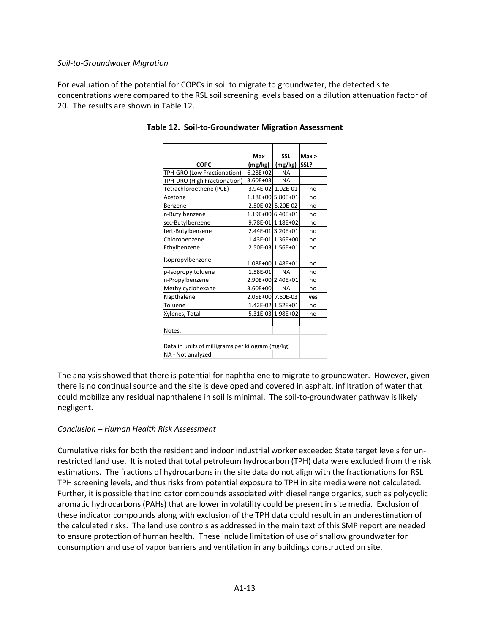### *Soil-to-Groundwater Migration*

For evaluation of the potential for COPCs in soil to migrate to groundwater, the detected site concentrations were compared to the RSL soil screening levels based on a dilution attenuation factor of 20. The results are shown in Table 12.

|                                                  | Max               | <b>SSL</b>        | Max > |  |  |  |  |  |
|--------------------------------------------------|-------------------|-------------------|-------|--|--|--|--|--|
| COPC                                             | (mg/kg)           | (mg/kg)           | SSL?  |  |  |  |  |  |
| TPH-GRO (Low Fractionation)                      | $6.28E + 02$      | <b>NA</b>         |       |  |  |  |  |  |
| TPH-DRO (High Fractionation)                     | 3.60E+03          | <b>NA</b>         |       |  |  |  |  |  |
| Tetrachloroethene (PCE)                          |                   | 3.94E-02 1.02E-01 | no    |  |  |  |  |  |
| Acetone                                          |                   | 1.18E+00 5.80E+01 | no    |  |  |  |  |  |
| Benzene                                          |                   | 2.50E-02 5.20E-02 | no    |  |  |  |  |  |
| n-Butylbenzene                                   |                   | 1.19E+00 6.40E+01 | no    |  |  |  |  |  |
| sec-Butylbenzene                                 |                   | 9.78E-01 1.18E+02 | no    |  |  |  |  |  |
| tert-Butylbenzene                                |                   | 2.44E-01 3.20E+01 | no    |  |  |  |  |  |
| Chlorobenzene                                    |                   | 1.43E-01 1.36E+00 | no    |  |  |  |  |  |
| Ethylbenzene                                     |                   | 2.50E-03 1.56E+01 | no    |  |  |  |  |  |
| Isopropylbenzene                                 |                   |                   |       |  |  |  |  |  |
|                                                  |                   | 1.08E+00 1.48E+01 | no    |  |  |  |  |  |
| p-Isopropyltoluene                               | 1.58E-01          | <b>NA</b>         | no    |  |  |  |  |  |
| n-Propylbenzene                                  |                   | 2.90E+00 2.40E+01 | no    |  |  |  |  |  |
| Methylcyclohexane                                | 3.60E+00          | <b>NA</b>         | no    |  |  |  |  |  |
| Napthalene                                       | 2.05E+00 7.60E-03 |                   | ves   |  |  |  |  |  |
| Toluene                                          |                   | 1.42E-02 1.52E+01 | no    |  |  |  |  |  |
| Xylenes, Total                                   |                   | 5.31E-03 1.98E+02 | no    |  |  |  |  |  |
|                                                  |                   |                   |       |  |  |  |  |  |
| Notes:                                           |                   |                   |       |  |  |  |  |  |
|                                                  |                   |                   |       |  |  |  |  |  |
| Data in units of milligrams per kilogram (mg/kg) |                   |                   |       |  |  |  |  |  |
| NA - Not analyzed                                |                   |                   |       |  |  |  |  |  |

### **Table 12. Soil-to-Groundwater Migration Assessment**

The analysis showed that there is potential for naphthalene to migrate to groundwater. However, given there is no continual source and the site is developed and covered in asphalt, infiltration of water that could mobilize any residual naphthalene in soil is minimal. The soil-to-groundwater pathway is likely negligent.

### *Conclusion – Human Health Risk Assessment*

Cumulative risks for both the resident and indoor industrial worker exceeded State target levels for unrestricted land use. It is noted that total petroleum hydrocarbon (TPH) data were excluded from the risk estimations. The fractions of hydrocarbons in the site data do not align with the fractionations for RSL TPH screening levels, and thus risks from potential exposure to TPH in site media were not calculated. Further, it is possible that indicator compounds associated with diesel range organics, such as polycyclic aromatic hydrocarbons (PAHs) that are lower in volatility could be present in site media. Exclusion of these indicator compounds along with exclusion of the TPH data could result in an underestimation of the calculated risks. The land use controls as addressed in the main text of this SMP report are needed to ensure protection of human health. These include limitation of use of shallow groundwater for consumption and use of vapor barriers and ventilation in any buildings constructed on site.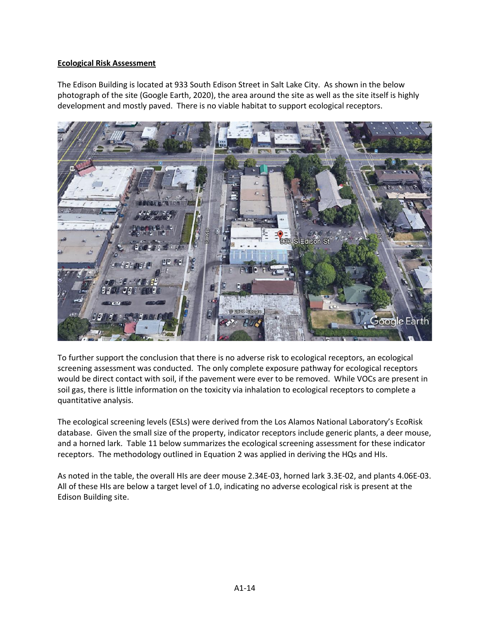# **Ecological Risk Assessment**

The Edison Building is located at 933 South Edison Street in Salt Lake City. As shown in the below photograph of the site (Google Earth, 2020), the area around the site as well as the site itself is highly development and mostly paved. There is no viable habitat to support ecological receptors.



To further support the conclusion that there is no adverse risk to ecological receptors, an ecological screening assessment was conducted. The only complete exposure pathway for ecological receptors would be direct contact with soil, if the pavement were ever to be removed. While VOCs are present in soil gas, there is little information on the toxicity via inhalation to ecological receptors to complete a quantitative analysis.

The ecological screening levels (ESLs) were derived from the Los Alamos National Laboratory's EcoRisk database. Given the small size of the property, indicator receptors include generic plants, a deer mouse, and a horned lark. Table 11 below summarizes the ecological screening assessment for these indicator receptors. The methodology outlined in Equation 2 was applied in deriving the HQs and HIs.

As noted in the table, the overall HIs are deer mouse 2.34E-03, horned lark 3.3E-02, and plants 4.06E-03. All of these HIs are below a target level of 1.0, indicating no adverse ecological risk is present at the Edison Building site.